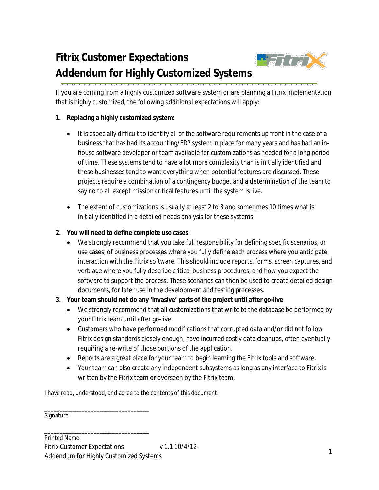## **Fitrix Customer Expectations Addendum for Highly Customized Systems**



If you are coming from a highly customized software system or are planning a Fitrix implementation that is highly customized, the following additional expectations will apply:

## **1. Replacing a highly customized system:**

- It is especially difficult to identify all of the software requirements up front in the case of a business that has had its accounting/ERP system in place for many years and has had an inhouse software developer or team available for customizations as needed for a long period of time. These systems tend to have a lot more complexity than is initially identified and these businesses tend to want everything when potential features are discussed. These projects require a combination of a contingency budget and a determination of the team to say no to all except mission critical features until the system is live.
- The extent of customizations is usually at least 2 to 3 and sometimes 10 times what is initially identified in a detailed needs analysis for these systems

## **2. You will need to define complete use cases:**

 We strongly recommend that you take full responsibility for defining specific scenarios, or use cases, of business processes where you fully define each process where you anticipate interaction with the Fitrix software. This should include reports, forms, screen captures, and verbiage where you fully describe critical business procedures, and how you expect the software to support the process. These scenarios can then be used to create detailed design documents, for later use in the development and testing processes.

## **3. Your team should not do any 'invasive' parts of the project until after go-live**

- We strongly recommend that all customizations that write to the database be performed by your Fitrix team until after go-live.
- Customers who have performed modifications that corrupted data and/or did not follow Fitrix design standards closely enough, have incurred costly data cleanups, often eventually requiring a re-write of those portions of the application.
- Reports are a great place for your team to begin learning the Fitrix tools and software.
- Your team can also create any independent subsystems as long as any interface to Fitrix is written by the Fitrix team or overseen by the Fitrix team.

I have read, understood, and agree to the contents of this document:

\_\_\_\_\_\_\_\_\_\_\_\_\_\_\_\_\_\_\_\_\_\_\_\_\_\_\_\_\_\_\_\_\_\_ Signature

\_\_\_\_\_\_\_\_\_\_\_\_\_\_\_\_\_\_\_\_\_\_\_\_\_\_\_\_\_\_\_\_\_\_